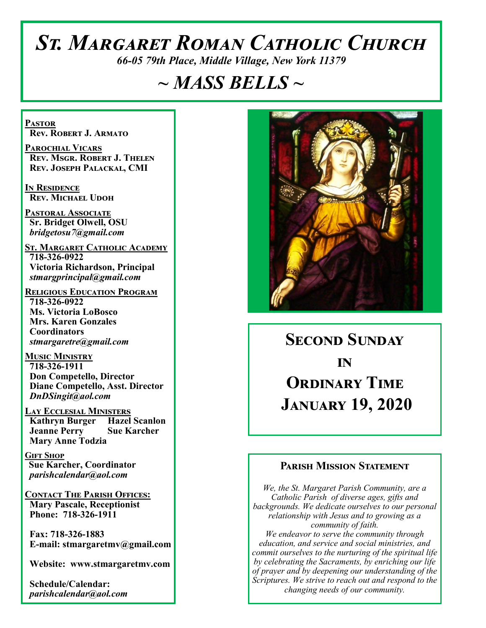# *St. Margaret Roman Catholic Church*

*66-05 79th Place, Middle Village, New York 11379*

## *~ MASS BELLS ~*

**Pastor Rev. Robert J. Armato**

**Parochial Vicars Rev. Msgr. Robert J. Thelen Rev. Joseph Palackal, CMI**

**In Residence Rev. Michael Udoh**

**Pastoral Associate Sr. Bridget Olwell, OSU**  *bridgetosu7@gmail.com*

**St. Margaret Catholic Academy 718-326-0922 Victoria Richardson, Principal**  *stmargprincipal@gmail.com*

**Religious Education Program 718-326-0922 Ms. Victoria LoBosco Mrs. Karen Gonzales Coordinators** *stmargaretre@gmail.com*

**Music Ministry 718-326-1911 Don Competello, Director Diane Competello, Asst. Director** *DnDSingit@aol.com*

**Lay Ecclesial Ministers Kathryn Burger Hazel Scanlon Jeanne Perry Sue Karcher Mary Anne Todzia**

**Gift Shop Sue Karcher, Coordinator** *parishcalendar@aol.com*

**Contact The Parish Offices: Mary Pascale, Receptionist Phone: 718-326-1911** 

 **Fax: 718-326-1883 E-mail: stmargaretmv@gmail.com**

 **Website: www.stmargaretmv.com**

 **Schedule/Calendar:** *parishcalendar@aol.com* 



**Second Sunday**  *in* **ORDINARY TIME January 19, 2020** 

#### **Parish Mission Statement**

*We, the St. Margaret Parish Community, are a Catholic Parish of diverse ages, gifts and backgrounds. We dedicate ourselves to our personal relationship with Jesus and to growing as a community of faith. We endeavor to serve the community through education, and service and social ministries, and commit ourselves to the nurturing of the spiritual life by celebrating the Sacraments, by enriching our life of prayer and by deepening our understanding of the Scriptures. We strive to reach out and respond to the changing needs of our community.*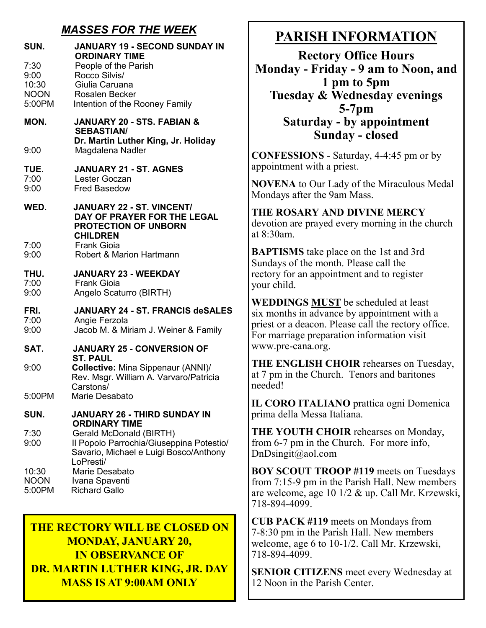### *MASSES FOR THE WEEK*

| SUN.                                           | <b>JANUARY 19 - SECOND SUNDAY IN</b><br><b>ORDINARY TIME</b>                                                                                       |
|------------------------------------------------|----------------------------------------------------------------------------------------------------------------------------------------------------|
| 7:30<br>9:00<br>10:30<br><b>NOON</b><br>5:00PM | People of the Parish<br>Rocco Silvis/<br>Giulia Caruana<br><b>Rosalen Becker</b><br>Intention of the Rooney Family                                 |
| MON.                                           | <b>JANUARY 20 - STS. FABIAN &amp;</b><br><b>SEBASTIAN/</b><br>Dr. Martin Luther King, Jr. Holiday                                                  |
| 9:00                                           | Magdalena Nadler                                                                                                                                   |
| TUE.<br>7:00<br>9:00                           | <b>JANUARY 21 - ST. AGNES</b><br>Lester Goczan<br><b>Fred Basedow</b>                                                                              |
| WED.                                           | <b>JANUARY 22 - ST. VINCENT/</b><br>DAY OF PRAYER FOR THE LEGAL<br><b>PROTECTION OF UNBORN</b><br><b>CHILDREN</b>                                  |
| 7:00<br>9:00                                   | <b>Frank Gioia</b><br><b>Robert &amp; Marion Hartmann</b>                                                                                          |
| THU.<br>7:00<br>9:00                           | <b>JANUARY 23 - WEEKDAY</b><br><b>Frank Gioia</b><br>Angelo Scaturro (BIRTH)                                                                       |
| FRI.<br>7:00<br>9:00                           | <b>JANUARY 24 - ST. FRANCIS deSALES</b><br>Angie Ferzola<br>Jacob M. & Miriam J. Weiner & Family                                                   |
| SAT.                                           | JANUARY 25 - CONVERSION OF                                                                                                                         |
| 9:00                                           | <b>ST. PAUL</b><br>Collective: Mina Sippenaur (ANNI)/<br>Rev. Msgr. William A. Varvaro/Patricia<br>Carstons/                                       |
| 5:00PM                                         | Marie Desabato                                                                                                                                     |
| SUN.                                           | <b>JANUARY 26 - THIRD SUNDAY IN</b>                                                                                                                |
| 7:30<br>9:00                                   | <b>ORDINARY TIME</b><br>Gerald McDonald (BIRTH)<br>Il Popolo Parrochia/Giuseppina Potestio/<br>Savario, Michael e Luigi Bosco/Anthony<br>LoPresti/ |
| 10:30<br><b>NOON</b><br>5:00PM                 | Marie Desabato<br>Ivana Spaventi<br><b>Richard Gallo</b>                                                                                           |

### **THE RECTORY WILL BE CLOSED ON MONDAY, JANUARY 20, IN OBSERVANCE OF DR. MARTIN LUTHER KING, JR. DAY MASS IS AT 9:00AM ONLY**

### **PARISH INFORMATION**

**Rectory Office Hours Monday - Friday - 9 am to Noon, and 1 pm to 5pm Tuesday & Wednesday evenings 5-7pm Saturday - by appointment Sunday - closed**

**CONFESSIONS** - Saturday, 4-4:45 pm or by appointment with a priest.

**NOVENA** to Our Lady of the Miraculous Medal Mondays after the 9am Mass.

#### **THE ROSARY AND DIVINE MERCY** devotion are prayed every morning in the church at 8:30am.

**BAPTISMS** take place on the 1st and 3rd Sundays of the month. Please call the rectory for an appointment and to register your child.

**WEDDINGS MUST** be scheduled at least six months in advance by appointment with a priest or a deacon. Please call the rectory office. For marriage preparation information visit www.pre-cana.org.

**THE ENGLISH CHOIR** rehearses on Tuesday, at 7 pm in the Church. Tenors and baritones needed!

**IL CORO ITALIANO** prattica ogni Domenica prima della Messa Italiana.

**THE YOUTH CHOIR** rehearses on Monday, from 6-7 pm in the Church. For more info, DnDsingit@aol.com

**BOY SCOUT TROOP #119** meets on Tuesdays from 7:15-9 pm in the Parish Hall. New members are welcome, age 10 1/2 & up. Call Mr. Krzewski, 718-894-4099.

**CUB PACK #119** meets on Mondays from 7-8:30 pm in the Parish Hall. New members welcome, age 6 to 10-1/2. Call Mr. Krzewski, 718-894-4099.

**SENIOR CITIZENS** meet every Wednesday at 12 Noon in the Parish Center.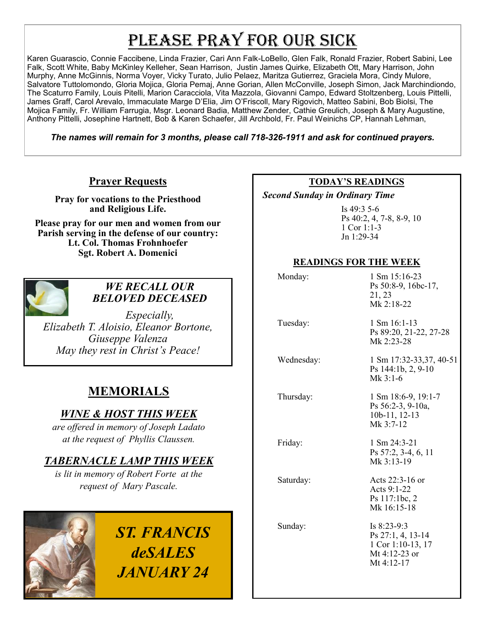# PLEASE PRAY FOR OUR SICK

Karen Guarascio, Connie Faccibene, Linda Frazier, Cari Ann Falk-LoBello, Glen Falk, Ronald Frazier, Robert Sabini, Lee Falk, Scott White, Baby McKinley Kelleher, Sean Harrison, Justin James Quirke, Elizabeth Ott, Mary Harrison, John Murphy, Anne McGinnis, Norma Voyer, Vicky Turato, Julio Pelaez, Maritza Gutierrez, Graciela Mora, Cindy Mulore, Salvatore Tuttolomondo, Gloria Mojica, Gloria Pemaj, Anne Gorian, Allen McConville, Joseph Simon, Jack Marchindiondo, The Scaturro Family, Louis Pitelli, Marion Caracciola, Vita Mazzola, Giovanni Campo, Edward Stoltzenberg, Louis Pittelli, James Graff, Carol Arevalo, Immaculate Marge D'Elia, Jim O'Friscoll, Mary Rigovich, Matteo Sabini, Bob Biolsi, The Mojica Family, Fr. William Farrugia, Msgr. Leonard Badia, Matthew Zender, Cathie Greulich, Joseph & Mary Augustine, Anthony Pittelli, Josephine Hartnett, Bob & Karen Schaefer, Jill Archbold, Fr. Paul Weinichs CP, Hannah Lehman,

*The names will remain for 3 months, please call 718-326-1911 and ask for continued prayers.*

### **Prayer Requests**

**Pray for vocations to the Priesthood and Religious Life.** 

**Please pray for our men and women from our Parish serving in the defense of our country: Lt. Col. Thomas Frohnhoefer Sgt. Robert A. Domenici** 



#### *WE RECALL OUR BELOVED DECEASED*

*Especially, Elizabeth T. Aloisio, Eleanor Bortone, Giuseppe Valenza May they rest in Christ's Peace!*

### **MEMORIALS**

### *WINE & HOST THIS WEEK*

*are offered in memory of Joseph Ladato at the request of Phyllis Claussen.* 

### *TABERNACLE LAMP THIS WEEK*

*is lit in memory of Robert Forte at the request of Mary Pascale.* 

> *ST. FRANCIS deSALES JANUARY 24*

#### **TODAY'S READINGS**

 *Second Sunday in Ordinary Time* 

Is 49:3 5-6 Ps 40:2, 4, 7-8, 8-9, 10 1 Cor 1:1-3 Jn 1:29-34

#### **READINGS FOR THE WEEK**

| Monday:    | 1 Sm 15:16-23<br>Ps 50:8-9, 16bc-17,<br>21, 23<br>Mk 2:18-22                             |
|------------|------------------------------------------------------------------------------------------|
| Tuesday:   | $1 \text{ Sm } 16:1-13$<br>Ps 89:20, 21-22, 27-28<br>Mk 2:23-28                          |
| Wednesday: | 1 Sm 17:32-33,37, 40-51<br>Ps 144:1b, 2, 9-10<br>$Mk$ 3:1-6                              |
| Thursday:  | 1 Sm 18:6-9, 19:1-7<br>Ps 56:2-3, 9-10a,<br>10b-11, 12-13<br>Mk 3:7-12                   |
| Friday:    | $1 \text{ Sm } 24:3-21$<br>Ps 57:2, 3-4, 6, 11<br>Mk 3:13-19                             |
| Saturday:  | Acts $22:3-16$ or<br>Acts 9:1-22<br>Ps 117:1bc, 2<br>Mk 16:15-18                         |
| Sunday:    | Is $8:23-9:3$<br>Ps 27:1, 4, 13-14<br>1 Cor 1:10-13, 17<br>Mt 4:12-23 or<br>Mt $4:12-17$ |
|            |                                                                                          |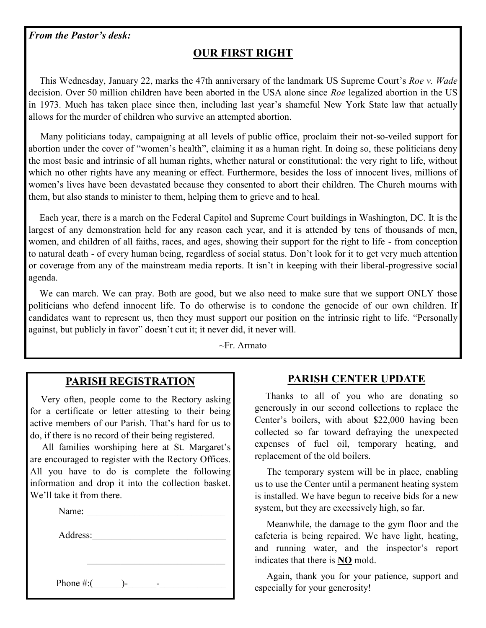#### *From the Pastor's desk:*

### **OUR FIRST RIGHT**

 This Wednesday, January 22, marks the 47th anniversary of the landmark US Supreme Court's *Roe v. Wade*  decision. Over 50 million children have been aborted in the USA alone since *Roe* legalized abortion in the US in 1973. Much has taken place since then, including last year's shameful New York State law that actually allows for the murder of children who survive an attempted abortion.

 Many politicians today, campaigning at all levels of public office, proclaim their not-so-veiled support for abortion under the cover of "women's health", claiming it as a human right. In doing so, these politicians deny the most basic and intrinsic of all human rights, whether natural or constitutional: the very right to life, without which no other rights have any meaning or effect. Furthermore, besides the loss of innocent lives, millions of women's lives have been devastated because they consented to abort their children. The Church mourns with them, but also stands to minister to them, helping them to grieve and to heal.

 Each year, there is a march on the Federal Capitol and Supreme Court buildings in Washington, DC. It is the largest of any demonstration held for any reason each year, and it is attended by tens of thousands of men, women, and children of all faiths, races, and ages, showing their support for the right to life - from conception to natural death - of every human being, regardless of social status. Don't look for it to get very much attention or coverage from any of the mainstream media reports. It isn't in keeping with their liberal-progressive social agenda.

We can march. We can pray. Both are good, but we also need to make sure that we support ONLY those politicians who defend innocent life. To do otherwise is to condone the genocide of our own children. If candidates want to represent us, then they must support our position on the intrinsic right to life. "Personally against, but publicly in favor" doesn't cut it; it never did, it never will.

~Fr. Armato

#### **PARISH REGISTRATION**

 Very often, people come to the Rectory asking for a certificate or letter attesting to their being active members of our Parish. That's hard for us to do, if there is no record of their being registered.

 All families worshiping here at St. Margaret's are encouraged to register with the Rectory Offices. All you have to do is complete the following information and drop it into the collection basket. We'll take it from there.

Name:

Address:

Phone #:(\_\_\_\_\_\_)-\_\_\_\_\_\_-\_\_\_\_\_\_\_\_\_\_\_\_\_\_

#### **PARISH CENTER UPDATE**

 Thanks to all of you who are donating so generously in our second collections to replace the Center's boilers, with about \$22,000 having been collected so far toward defraying the unexpected expenses of fuel oil, temporary heating, and replacement of the old boilers.

 The temporary system will be in place, enabling us to use the Center until a permanent heating system is installed. We have begun to receive bids for a new system, but they are excessively high, so far.

 Meanwhile, the damage to the gym floor and the cafeteria is being repaired. We have light, heating, and running water, and the inspector's report indicates that there is **NO** mold.

 Again, thank you for your patience, support and especially for your generosity!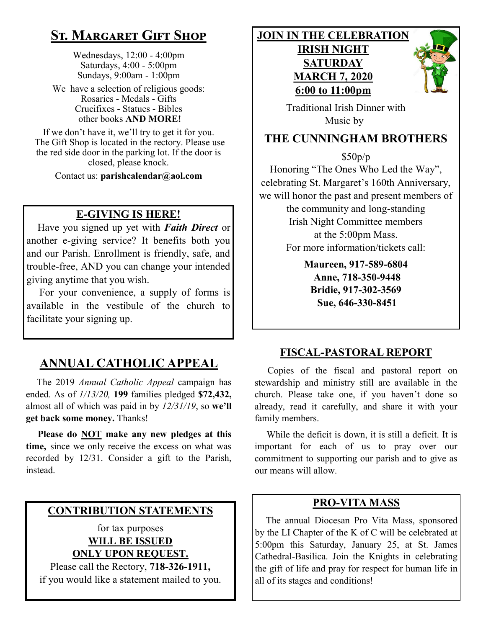### **St. Margaret Gift Shop**

Wednesdays, 12:00 - 4:00pm Saturdays, 4:00 - 5:00pm Sundays, 9:00am - 1:00pm

We have a selection of religious goods: Rosaries - Medals - Gifts Crucifixes - Statues - Bibles other books **AND MORE!**

If we don't have it, we'll try to get it for you. The Gift Shop is located in the rectory. Please use the red side door in the parking lot. If the door is closed, please knock.

Contact us: **parishcalendar@aol.com**

### **E-GIVING IS HERE!**

 Have you signed up yet with *Faith Direct* or another e-giving service? It benefits both you and our Parish. Enrollment is friendly, safe, and trouble-free, AND you can change your intended giving anytime that you wish.

 For your convenience, a supply of forms is available in the vestibule of the church to facilitate your signing up.

### **ANNUAL CATHOLIC APPEAL**

 The 2019 *Annual Catholic Appeal* campaign has ended. As of *1/13/20,* **199** families pledged **\$72,432,**  almost all of which was paid in by *12/31/19*, so **we'll get back some money.** Thanks!

 **Please do NOT make any new pledges at this time,** since we only receive the excess on what was recorded by 12/31. Consider a gift to the Parish, instead.

### **CONTRIBUTION STATEMENTS**

for tax purposes **WILL BE ISSUED ONLY UPON REQUEST.**

Please call the Rectory, **718-326-1911,** if you would like a statement mailed to you. **JOIN IN THE CELEBRATION**

### **IRISH NIGHT SATURDAY MARCH 7, 2020 6:00 to 11:00pm**



 Traditional Irish Dinner with Music by

### **THE CUNNINGHAM BROTHERS**

\$50p/p

Honoring "The Ones Who Led the Way", celebrating St. Margaret's 160th Anniversary, we will honor the past and present members of the community and long-standing Irish Night Committee members at the 5:00pm Mass. For more information/tickets call:

> **Maureen, 917-589-6804 Anne, 718-350-9448 Bridie, 917-302-3569 Sue, 646-330-8451**

### **FISCAL-PASTORAL REPORT**

 Copies of the fiscal and pastoral report on stewardship and ministry still are available in the church. Please take one, if you haven't done so already, read it carefully, and share it with your family members.

 While the deficit is down, it is still a deficit. It is important for each of us to pray over our commitment to supporting our parish and to give as our means will allow.

#### **PRO-VITA MASS**

 The annual Diocesan Pro Vita Mass, sponsored by the LI Chapter of the K of C will be celebrated at 5:00pm this Saturday, January 25, at St. James Cathedral-Basilica. Join the Knights in celebrating the gift of life and pray for respect for human life in all of its stages and conditions!